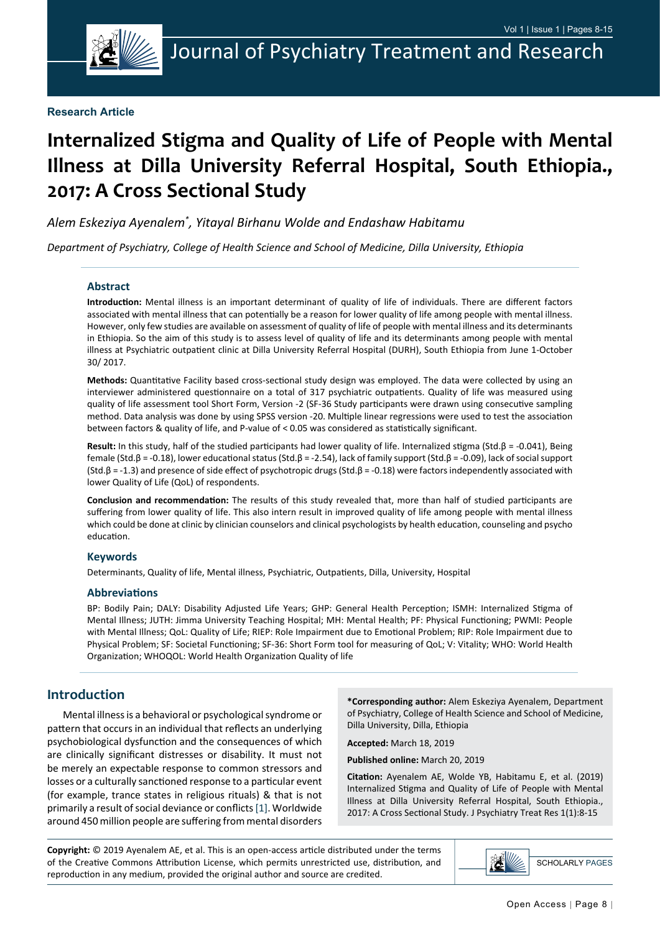

#### **Research Article**

# **Internalized Stigma and Quality of Life of People with Mental Illness at Dilla University Referral Hospital, South Ethiopia., 2017: A Cross Sectional Study**

*Alem Eskeziya Ayenalem\* , Yitayal Birhanu Wolde and Endashaw Habitamu*

*Department of Psychiatry, College of Health Science and School of Medicine, Dilla University, Ethiopia*

#### **Abstract**

**Introduction:** Mental illness is an important determinant of quality of life of individuals. There are different factors associated with mental illness that can potentially be a reason for lower quality of life among people with mental illness. However, only few studies are available on assessment of quality of life of people with mental illness and its determinants in Ethiopia. So the aim of this study is to assess level of quality of life and its determinants among people with mental illness at Psychiatric outpatient clinic at Dilla University Referral Hospital (DURH), South Ethiopia from June 1-October 30/ 2017.

**Methods:** Quantitative Facility based cross-sectional study design was employed. The data were collected by using an interviewer administered questionnaire on a total of 317 psychiatric outpatients. Quality of life was measured using quality of life assessment tool Short Form, Version -2 (SF-36 Study participants were drawn using consecutive sampling method. Data analysis was done by using SPSS version -20. Multiple linear regressions were used to test the association between factors & quality of life, and P-value of < 0.05 was considered as statistically significant.

**Result:** In this study, half of the studied participants had lower quality of life. Internalized stigma (Std.β = -0.041), Being female (Std.β = -0.18), lower educational status (Std.β = -2.54), lack of family support (Std.β = -0.09), lack of social support (Std.β = -1.3) and presence of side effect of psychotropic drugs (Std.β = -0.18) were factors independently associated with lower Quality of Life (QoL) of respondents.

**Conclusion and recommendation:** The results of this study revealed that, more than half of studied participants are suffering from lower quality of life. This also intern result in improved quality of life among people with mental illness which could be done at clinic by clinician counselors and clinical psychologists by health education, counseling and psycho education.

#### **Keywords**

Determinants, Quality of life, Mental illness, Psychiatric, Outpatients, Dilla, University, Hospital

#### **Abbreviations**

BP: Bodily Pain; DALY: Disability Adjusted Life Years; GHP: General Health Perception; ISMH: Internalized Stigma of Mental Illness; JUTH: Jimma University Teaching Hospital; MH: Mental Health; PF: Physical Functioning; PWMI: People with Mental Illness; QoL: Quality of Life; RIEP: Role Impairment due to Emotional Problem; RIP: Role Impairment due to Physical Problem; SF: Societal Functioning; SF-36: Short Form tool for measuring of QoL; V: Vitality; WHO: World Health Organization; WHOQOL: World Health Organization Quality of life

#### **Introduction**

Mental illness is a behavioral or psychological syndrome or pattern that occurs in an individual that reflects an underlying psychobiological dysfunction and the consequences of which are clinically significant distresses or disability. It must not be merely an expectable response to common stressors and losses or a culturally sanctioned response to a particular event (for example, trance states in religious rituals) & that is not primarily a result of social deviance or conflicts [\[1](#page-7-0)]. Worldwide around 450 million people are suffering from mental disorders

**\*Corresponding author:** Alem Eskeziya Ayenalem, Department of Psychiatry, College of Health Science and School of Medicine, Dilla University, Dilla, Ethiopia

**Accepted:** March 18, 2019

**Published online:** March 20, 2019

**Citation:** Ayenalem AE, Wolde YB, Habitamu E, et al. (2019) Internalized Stigma and Quality of Life of People with Mental Illness at Dilla University Referral Hospital, South Ethiopia., 2017: A Cross Sectional Study. J Psychiatry Treat Res 1(1):8-15

**Copyright:** © 2019 Ayenalem AE, et al. This is an open-access article distributed under the terms of the Creative Commons Attribution License, which permits unrestricted use, distribution, and reproduction in any medium, provided the original author and source are credited.

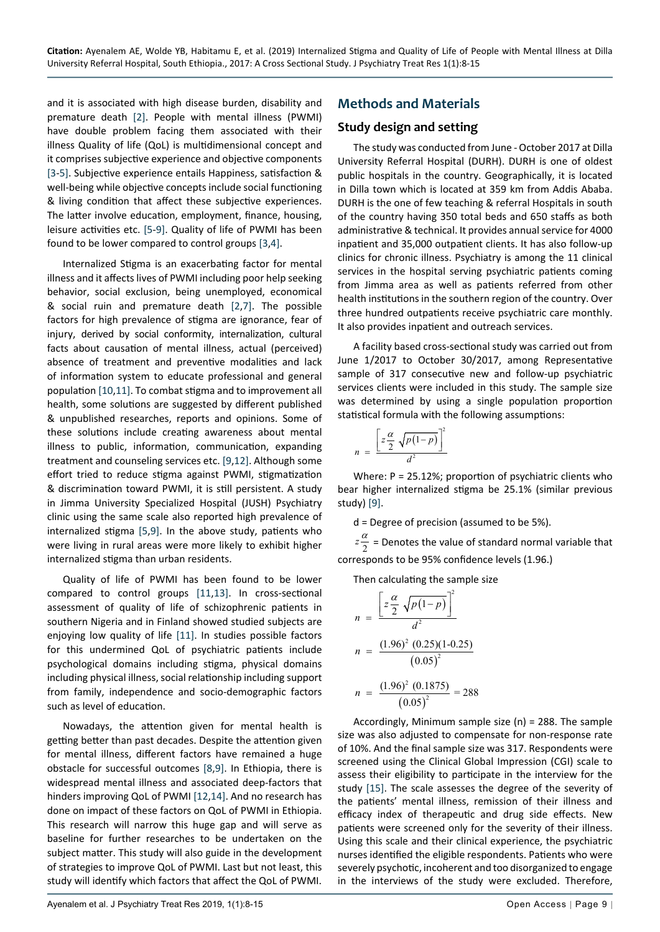and it is associated with high disease burden, disability and premature death [\[2](#page-7-3)]. People with mental illness (PWMI) have double problem facing them associated with their illness Quality of life (QoL) is multidimensional concept and it comprises subjective experience and objective components [[3-](#page-7-4)[5\]](#page-7-5). Subjective experience entails Happiness, satisfaction & well-being while objective concepts include social functioning & living condition that affect these subjective experiences. The latter involve education, employment, finance, housing, leisure activities etc. [[5](#page-7-5)-[9\]](#page-7-1). Quality of life of PWMI has been found to be lower compared to control groups [[3,](#page-7-4)[4](#page-7-6)].

Internalized Stigma is an exacerbating factor for mental illness and it affects lives of PWMI including poor help seeking behavior, social exclusion, being unemployed, economical & social ruin and premature death [[2,](#page-7-3)[7](#page-7-7)]. The possible factors for high prevalence of stigma are ignorance, fear of injury, derived by social conformity, internalization, cultural facts about causation of mental illness, actual (perceived) absence of treatment and preventive modalities and lack of information system to educate professional and general population [[10](#page-7-8)[,11\]](#page-7-9). To combat stigma and to improvement all health, some solutions are suggested by different published & unpublished researches, reports and opinions. Some of these solutions include creating awareness about mental illness to public, information, communication, expanding treatment and counseling services etc. [[9](#page-7-1)[,12](#page-7-10)]. Although some effort tried to reduce stigma against PWMI, stigmatization & discrimination toward PWMI, it is still persistent. A study in Jimma University Specialized Hospital (JUSH) Psychiatry clinic using the same scale also reported high prevalence of internalized stigma [\[5](#page-7-5),[9\]](#page-7-1). In the above study, patients who were living in rural areas were more likely to exhibit higher internalized stigma than urban residents.

Quality of life of PWMI has been found to be lower compared to control groups [\[11](#page-7-9),[13](#page-7-11)]. In cross-sectional assessment of quality of life of schizophrenic patients in southern Nigeria and in Finland showed studied subjects are enjoying low quality of life [\[11](#page-7-9)]. In studies possible factors for this undermined QoL of psychiatric patients include psychological domains including stigma, physical domains including physical illness, social relationship including support from family, independence and socio-demographic factors such as level of education.

Nowadays, the attention given for mental health is getting better than past decades. Despite the attention given for mental illness, different factors have remained a huge obstacle for successful outcomes [[8](#page-7-12)[,9](#page-7-1)]. In Ethiopia, there is widespread mental illness and associated deep-factors that hinders improving QoL of PWMI [[12,](#page-7-10)[14](#page-7-13)]. And no research has done on impact of these factors on QoL of PWMI in Ethiopia. This research will narrow this huge gap and will serve as baseline for further researches to be undertaken on the subject matter. This study will also guide in the development of strategies to improve QoL of PWMI. Last but not least, this study will identify which factors that affect the QoL of PWMI.

# **Methods and Materials**

## **Study design and setting**

The study was conducted from June - October 2017 at Dilla University Referral Hospital (DURH). DURH is one of oldest public hospitals in the country. Geographically, it is located in Dilla town which is located at 359 km from Addis Ababa. DURH is the one of few teaching & referral Hospitals in south of the country having 350 total beds and 650 staffs as both administrative & technical. It provides annual service for 4000 inpatient and 35,000 outpatient clients. It has also follow-up clinics for chronic illness. Psychiatry is among the 11 clinical services in the hospital serving psychiatric patients coming from Jimma area as well as patients referred from other health institutions in the southern region of the country. Over three hundred outpatients receive psychiatric care monthly. It also provides inpatient and outreach services.

A facility based cross-sectional study was carried out from June 1/2017 to October 30/2017, among Representative sample of 317 consecutive new and follow-up psychiatric services clients were included in this study. The sample size was determined by using a single population proportion statistical formula with the following assumptions:

$$
n = \frac{\left[z\frac{\alpha}{2}\sqrt{p(1-p)}\right]^2}{d^2}
$$

Where: P = 25.12%; proportion of psychiatric clients who bear higher internalized stigma be 25.1% (similar previous study) [\[9](#page-7-1)].

d = Degree of precision (assumed to be 5%).

 $z\frac{\alpha}{2}$  = Denotes the value of standard normal variable that corresponds to be 95% confidence levels (1.96.)

Then calculating the sample size

$$
n = \frac{\left[z\frac{\alpha}{2}\sqrt{p(1-p)}\right]^2}{d^2}
$$
  

$$
n = \frac{(1.96)^2 (0.25)(1-0.25)}{(0.05)^2}
$$
  

$$
n = \frac{(1.96)^2 (0.1875)}{(0.05)^2} = 288
$$

Accordingly, Minimum sample size (n) = 288. The sample size was also adjusted to compensate for non-response rate of 10%. And the final sample size was 317. Respondents were screened using the Clinical Global Impression (CGI) scale to assess their eligibility to participate in the interview for the study [\[15\]](#page-7-2). The scale assesses the degree of the severity of the patients' mental illness, remission of their illness and efficacy index of therapeutic and drug side effects. New patients were screened only for the severity of their illness. Using this scale and their clinical experience, the psychiatric nurses identified the eligible respondents. Patients who were severely psychotic, incoherent and too disorganized to engage in the interviews of the study were excluded. Therefore,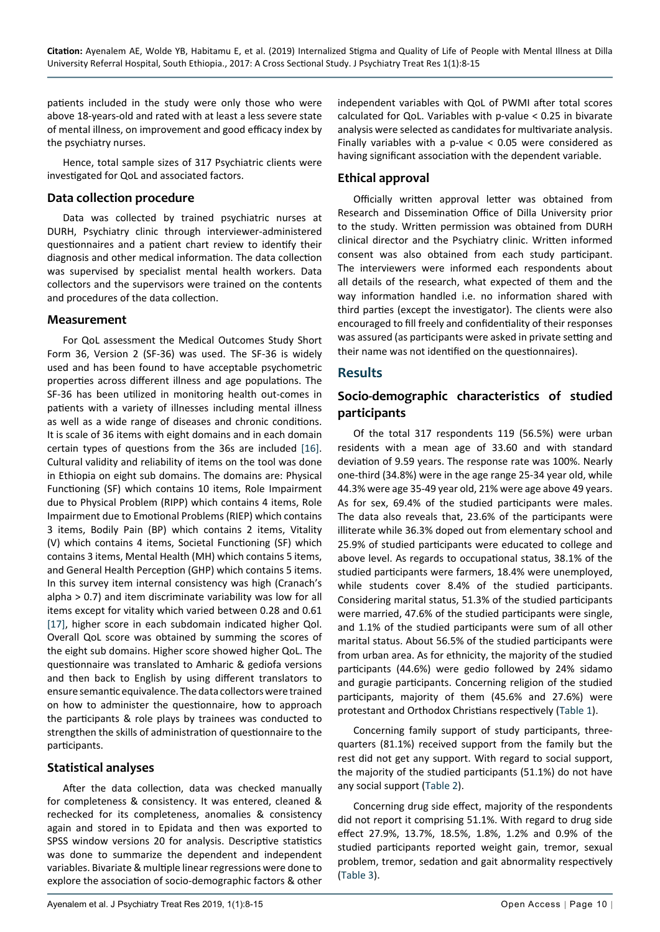patients included in the study were only those who were above 18-years-old and rated with at least a less severe state of mental illness, on improvement and good efficacy index by the psychiatry nurses.

Hence, total sample sizes of 317 Psychiatric clients were investigated for QoL and associated factors.

#### **Data collection procedure**

Data was collected by trained psychiatric nurses at DURH, Psychiatry clinic through interviewer-administered questionnaires and a patient chart review to identify their diagnosis and other medical information. The data collection was supervised by specialist mental health workers. Data collectors and the supervisors were trained on the contents and procedures of the data collection.

#### **Measurement**

For QoL assessment the Medical Outcomes Study Short Form 36, Version 2 (SF-36) was used. The SF-36 is widely used and has been found to have acceptable psychometric properties across different illness and age populations. The SF-36 has been utilized in monitoring health out-comes in patients with a variety of illnesses including mental illness as well as a wide range of diseases and chronic conditions. It is scale of 36 items with eight domains and in each domain certain types of questions from the 36s are included [[16\]](#page-7-14). Cultural validity and reliability of items on the tool was done in Ethiopia on eight sub domains. The domains are: Physical Functioning (SF) which contains 10 items, Role Impairment due to Physical Problem (RIPP) which contains 4 items, Role Impairment due to Emotional Problems (RIEP) which contains 3 items, Bodily Pain (BP) which contains 2 items, Vitality (V) which contains 4 items, Societal Functioning (SF) which contains 3 items, Mental Health (MH) which contains 5 items, and General Health Perception (GHP) which contains 5 items. In this survey item internal consistency was high (Cranach's alpha > 0.7) and item discriminate variability was low for all items except for vitality which varied between 0.28 and 0.61 [[17\]](#page-7-15), higher score in each subdomain indicated higher Qol. Overall QoL score was obtained by summing the scores of the eight sub domains. Higher score showed higher QoL. The questionnaire was translated to Amharic & gediofa versions and then back to English by using different translators to ensure semantic equivalence. The data collectors were trained on how to administer the questionnaire, how to approach the participants & role plays by trainees was conducted to strengthen the skills of administration of questionnaire to the participants.

### **Statistical analyses**

After the data collection, data was checked manually for completeness & consistency. It was entered, cleaned & rechecked for its completeness, anomalies & consistency again and stored in to Epidata and then was exported to SPSS window versions 20 for analysis. Descriptive statistics was done to summarize the dependent and independent variables. Bivariate & multiple linear regressions were done to explore the association of socio-demographic factors & other independent variables with QoL of PWMI after total scores calculated for QoL. Variables with p-value < 0.25 in bivarate analysis were selected as candidates for multivariate analysis. Finally variables with a p-value < 0.05 were considered as having significant association with the dependent variable.

## **Ethical approval**

Officially written approval letter was obtained from Research and Dissemination Office of Dilla University prior to the study. Written permission was obtained from DURH clinical director and the Psychiatry clinic. Written informed consent was also obtained from each study participant. The interviewers were informed each respondents about all details of the research, what expected of them and the way information handled i.e. no information shared with third parties (except the investigator). The clients were also encouraged to fill freely and confidentiality of their responses was assured (as participants were asked in private setting and their name was not identified on the questionnaires).

## **Results**

# **Socio-demographic characteristics of studied participants**

Of the total 317 respondents 119 (56.5%) were urban residents with a mean age of 33.60 and with standard deviation of 9.59 years. The response rate was 100%. Nearly one-third (34.8%) were in the age range 25-34 year old, while 44.3% were age 35-49 year old, 21% were age above 49 years. As for sex, 69.4% of the studied participants were males. The data also reveals that, 23.6% of the participants were illiterate while 36.3% doped out from elementary school and 25.9% of studied participants were educated to college and above level. As regards to occupational status, 38.1% of the studied participants were farmers, 18.4% were unemployed, while students cover 8.4% of the studied participants. Considering marital status, 51.3% of the studied participants were married, 47.6% of the studied participants were single, and 1.1% of the studied participants were sum of all other marital status. About 56.5% of the studied participants were from urban area. As for ethnicity, the majority of the studied participants (44.6%) were gedio followed by 24% sidamo and guragie participants. Concerning religion of the studied participants, majority of them (45.6% and 27.6%) were protestant and Orthodox Christians respectively ([Table 1](#page-3-0)).

Concerning family support of study participants, threequarters (81.1%) received support from the family but the rest did not get any support. With regard to social support, the majority of the studied participants (51.1%) do not have any social support ([Table 2](#page-3-1)).

Concerning drug side effect, majority of the respondents did not report it comprising 51.1%. With regard to drug side effect 27.9%, 13.7%, 18.5%, 1.8%, 1.2% and 0.9% of the studied participants reported weight gain, tremor, sexual problem, tremor, sedation and gait abnormality respectively ([Table 3](#page-3-2)).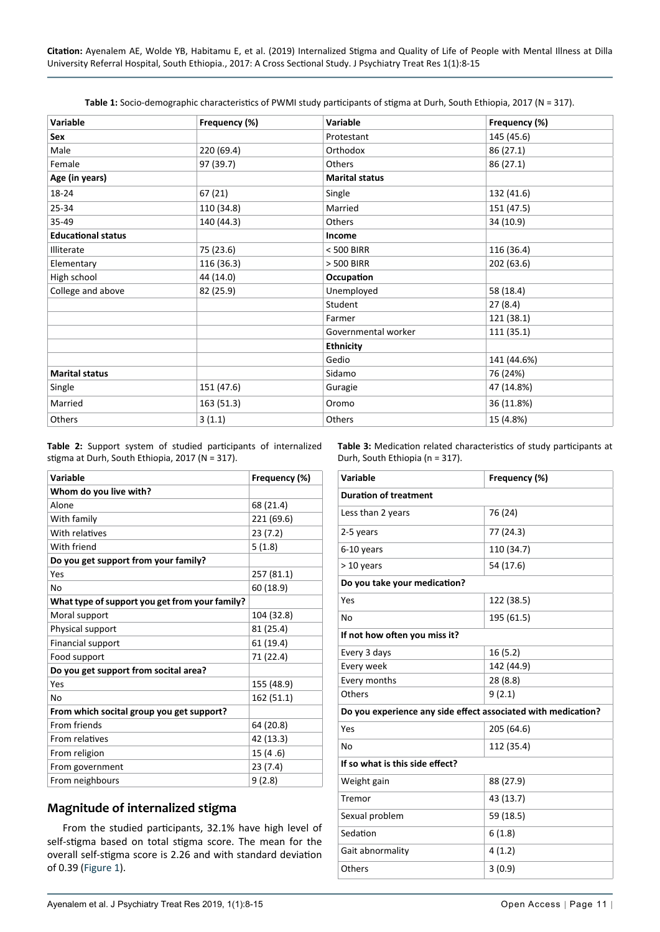<span id="page-3-0"></span>

| Variable                  | Frequency (%) | Variable              | Frequency (%) |
|---------------------------|---------------|-----------------------|---------------|
| Sex                       |               | Protestant            | 145 (45.6)    |
| Male                      | 220 (69.4)    | Orthodox              | 86 (27.1)     |
| Female                    | 97 (39.7)     | Others                | 86 (27.1)     |
| Age (in years)            |               | <b>Marital status</b> |               |
| 18-24                     | 67 (21)       | Single                | 132 (41.6)    |
| 25-34                     | 110 (34.8)    | Married               | 151 (47.5)    |
| 35-49                     | 140 (44.3)    | Others                | 34 (10.9)     |
| <b>Educational status</b> |               | Income                |               |
| Illiterate                | 75 (23.6)     | < 500 BIRR            | 116 (36.4)    |
| Elementary                | 116 (36.3)    | > 500 BIRR            | 202 (63.6)    |
| High school               | 44 (14.0)     | Occupation            |               |
| College and above         | 82 (25.9)     | Unemployed            | 58 (18.4)     |
|                           |               | Student               | 27(8.4)       |
|                           |               | Farmer                | 121 (38.1)    |
|                           |               | Governmental worker   | 111 (35.1)    |
|                           |               | <b>Ethnicity</b>      |               |
|                           |               | Gedio                 | 141 (44.6%)   |
| <b>Marital status</b>     |               | Sidamo                | 76 (24%)      |
| Single                    | 151 (47.6)    | Guragie               | 47 (14.8%)    |
| Married                   | 163 (51.3)    | Oromo                 | 36 (11.8%)    |
| Others                    | 3(1.1)        | Others                | 15 (4.8%)     |

<span id="page-3-1"></span>**Table 2:** Support system of studied participants of internalized stigma at Durh, South Ethiopia, 2017 (N = 317).

<span id="page-3-2"></span>**Table 3:** Medication related characteristics of study participants at Durh, South Ethiopia (n = 317).

| Variable                                       | Frequency (%) |  |  |
|------------------------------------------------|---------------|--|--|
| Whom do you live with?                         |               |  |  |
| Alone                                          | 68 (21.4)     |  |  |
| With family                                    | 221 (69.6)    |  |  |
| With relatives                                 | 23(7.2)       |  |  |
| With friend                                    | 5(1.8)        |  |  |
| Do you get support from your family?           |               |  |  |
| Yes                                            | 257 (81.1)    |  |  |
| No                                             | 60 (18.9)     |  |  |
| What type of support you get from your family? |               |  |  |
| Moral support                                  | 104 (32.8)    |  |  |
| Physical support                               | 81 (25.4)     |  |  |
| Financial support                              | 61 (19.4)     |  |  |
| Food support                                   | 71 (22.4)     |  |  |
| Do you get support from socital area?          |               |  |  |
| Yes                                            | 155 (48.9)    |  |  |
| No                                             | 162 (51.1)    |  |  |
| From which socital group you get support?      |               |  |  |
| From friends                                   | 64 (20.8)     |  |  |
| From relatives                                 | 42 (13.3)     |  |  |
| From religion                                  | 15(4.6)       |  |  |
| From government                                | 23(7.4)       |  |  |
| From neighbours                                | 9(2.8)        |  |  |

### **Magnitude of internalized stigma**

From the studied participants, 32.1% have high level of self-stigma based on total stigma score. The mean for the overall self-stigma score is 2.26 and with standard deviation of 0.39 ([Figure 1](#page-4-0)).

| Variable                                                      | Frequency (%) |  |  |  |
|---------------------------------------------------------------|---------------|--|--|--|
| <b>Duration of treatment</b>                                  |               |  |  |  |
| Less than 2 years                                             | 76 (24)       |  |  |  |
| 2-5 years                                                     | 77 (24.3)     |  |  |  |
| 6-10 years                                                    | 110 (34.7)    |  |  |  |
| > 10 years                                                    | 54 (17.6)     |  |  |  |
| Do you take your medication?                                  |               |  |  |  |
| Yes                                                           | 122 (38.5)    |  |  |  |
| No                                                            | 195 (61.5)    |  |  |  |
| If not how often you miss it?                                 |               |  |  |  |
| Every 3 days                                                  | 16(5.2)       |  |  |  |
| Every week                                                    | 142 (44.9)    |  |  |  |
| Every months                                                  | 28 (8.8)      |  |  |  |
| Others                                                        | 9(2.1)        |  |  |  |
| Do you experience any side effect associated with medication? |               |  |  |  |
| Yes                                                           | 205 (64.6)    |  |  |  |
| No                                                            | 112 (35.4)    |  |  |  |
| If so what is this side effect?                               |               |  |  |  |
| Weight gain                                                   | 88 (27.9)     |  |  |  |
| Tremor                                                        | 43 (13.7)     |  |  |  |
| Sexual problem                                                | 59 (18.5)     |  |  |  |
| Sedation                                                      | 6(1.8)        |  |  |  |
| Gait abnormality                                              | 4(1.2)        |  |  |  |
| Others                                                        | 3(0.9)        |  |  |  |
|                                                               |               |  |  |  |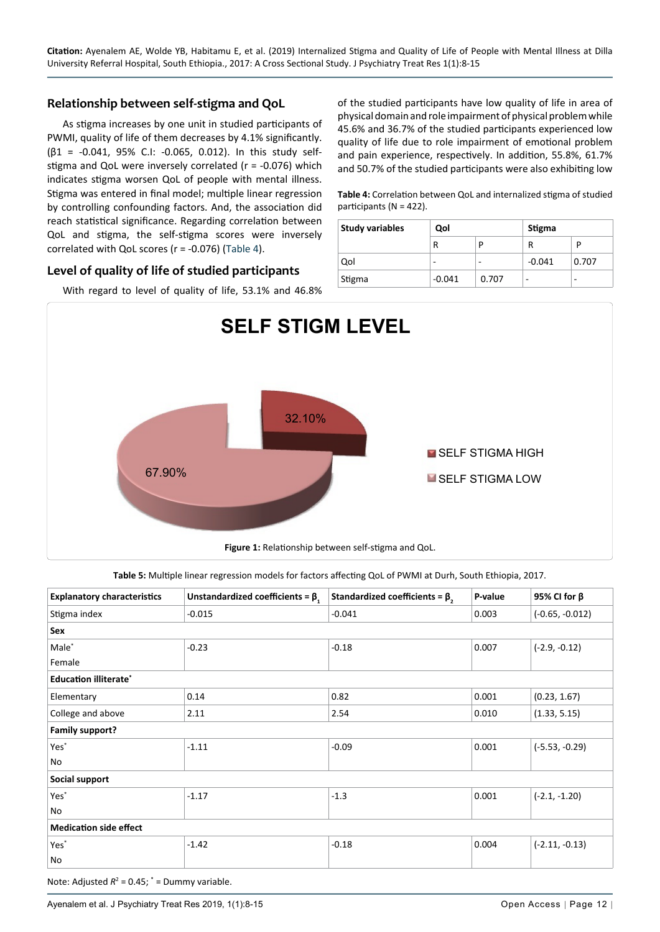### **Relationship between self-stigma and QoL**

As stigma increases by one unit in studied participants of PWMI, quality of life of them decreases by 4.1% significantly. (β1 = -0.041, 95% C.I: -0.065, 0.012). In this study selfstigma and QoL were inversely correlated (r = -0.076) which indicates stigma worsen QoL of people with mental illness. Stigma was entered in final model; multiple linear regression by controlling confounding factors. And, the association did reach statistical significance. Regarding correlation between QoL and stigma, the self-stigma scores were inversely correlated with QoL scores (r = -0.076) ([Table 4](#page-4-1)).

### **Level of quality of life of studied participants**

With regard to level of quality of life, 53.1% and 46.8%

of the studied participants have low quality of life in area of physical domain and role impairment of physical problem while 45.6% and 36.7% of the studied participants experienced low quality of life due to role impairment of emotional problem and pain experience, respectively. In addition, 55.8%, 61.7% and 50.7% of the studied participants were also exhibiting low

<span id="page-4-1"></span>**Table 4:** Correlation between QoL and internalized stigma of studied participants (N = 422).

| <b>Study variables</b> | Qol      |       | Stigma   |       |
|------------------------|----------|-------|----------|-------|
|                        | R        |       | R        |       |
| Qol                    | -        | -     | $-0.041$ | 0.707 |
| Stigma                 | $-0.041$ | 0.707 | -        | -     |

<span id="page-4-0"></span>

<span id="page-4-2"></span>**Table 5:** Multiple linear regression models for factors affecting QoL of PWMI at Durh, South Ethiopia, 2017.

| <b>Explanatory characteristics</b> | Unstandardized coefficients = $\beta$ , | Standardized coefficients = $\beta$ , | P-value | 95% CI for $\beta$ |  |  |  |
|------------------------------------|-----------------------------------------|---------------------------------------|---------|--------------------|--|--|--|
| Stigma index                       | $-0.015$                                | $-0.041$                              | 0.003   | $(-0.65, -0.012)$  |  |  |  |
| Sex                                |                                         |                                       |         |                    |  |  |  |
| Male <sup>*</sup>                  | $-0.23$                                 | $-0.18$                               | 0.007   | $(-2.9, -0.12)$    |  |  |  |
| Female                             |                                         |                                       |         |                    |  |  |  |
| <b>Education illiterate*</b>       |                                         |                                       |         |                    |  |  |  |
| Elementary                         | 0.14                                    | 0.82                                  | 0.001   | (0.23, 1.67)       |  |  |  |
| College and above                  | 2.11                                    | 2.54                                  | 0.010   | (1.33, 5.15)       |  |  |  |
| <b>Family support?</b>             |                                         |                                       |         |                    |  |  |  |
| Yes <sup>*</sup>                   | $-1.11$                                 | $-0.09$                               | 0.001   | $(-5.53, -0.29)$   |  |  |  |
| No                                 |                                         |                                       |         |                    |  |  |  |
| Social support                     |                                         |                                       |         |                    |  |  |  |
| Yes <sup>*</sup>                   | $-1.17$                                 | $-1.3$                                | 0.001   | $(-2.1, -1.20)$    |  |  |  |
| No                                 |                                         |                                       |         |                    |  |  |  |
| <b>Medication side effect</b>      |                                         |                                       |         |                    |  |  |  |
| Yes <sup>*</sup>                   | $-1.42$                                 | $-0.18$                               | 0.004   | $(-2.11, -0.13)$   |  |  |  |
| No                                 |                                         |                                       |         |                    |  |  |  |

Note: Adjusted  $R^2 = 0.45$ ;  $* =$  Dummy variable.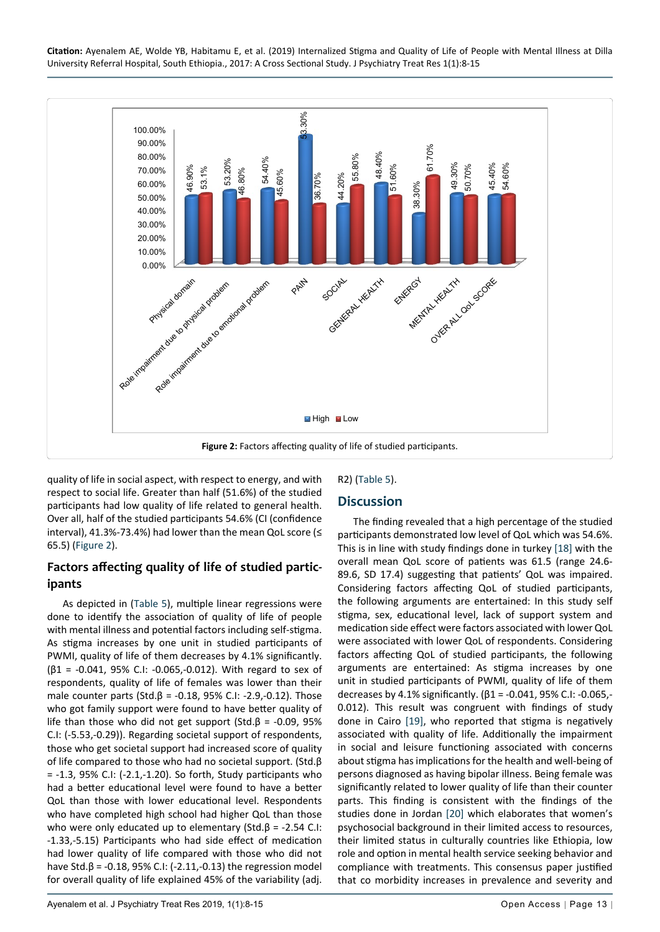<span id="page-5-0"></span>

quality of life in social aspect, with respect to energy, and with respect to social life. Greater than half (51.6%) of the studied participants had low quality of life related to general health. Over all, half of the studied participants 54.6% (CI (confidence interval), 41.3%-73.4%) had lower than the mean QoL score (≤ 65.5) [\(Figure 2\)](#page-5-0).

# **Factors affecting quality of life of studied participants**

As depicted in ([Table 5\)](#page-4-2), multiple linear regressions were done to identify the association of quality of life of people with mental illness and potential factors including self-stigma. As stigma increases by one unit in studied participants of PWMI, quality of life of them decreases by 4.1% significantly.  $(β1 = -0.041, 95% C.I: -0.065, -0.012)$ . With regard to sex of respondents, quality of life of females was lower than their male counter parts (Std.β = -0.18, 95% C.I: -2.9, -0.12). Those who got family support were found to have better quality of life than those who did not get support (Std.β = -0.09, 95%) C.I: (-5.53,-0.29)). Regarding societal support of respondents, those who get societal support had increased score of quality of life compared to those who had no societal support. (Std.β = -1.3, 95% C.I: (-2.1,-1.20). So forth, Study participants who had a better educational level were found to have a better QoL than those with lower educational level. Respondents who have completed high school had higher QoL than those who were only educated up to elementary (Std.β = -2.54 C.I: -1.33,-5.15) Participants who had side effect of medication had lower quality of life compared with those who did not have Std.β = -0.18, 95% C.I: (-2.11, -0.13) the regression model for overall quality of life explained 45% of the variability (adj. R2) [\(Table 5\)](#page-4-2).

# **Discussion**

The finding revealed that a high percentage of the studied participants demonstrated low level of QoL which was 54.6%. This is in line with study findings done in turkey [\[18](#page-7-16)] with the overall mean QoL score of patients was 61.5 (range 24.6- 89.6, SD 17.4) suggesting that patients' QoL was impaired. Considering factors affecting QoL of studied participants, the following arguments are entertained: In this study self stigma, sex, educational level, lack of support system and medication side effect were factors associated with lower QoL were associated with lower QoL of respondents. Considering factors affecting QoL of studied participants, the following arguments are entertained: As stigma increases by one unit in studied participants of PWMI, quality of life of them decreases by 4.1% significantly. (β1 = -0.041, 95% C.I: -0.065,- 0.012). This result was congruent with findings of study done in Cairo [[19\]](#page-7-17), who reported that stigma is negatively associated with quality of life. Additionally the impairment in social and leisure functioning associated with concerns about stigma has implications for the health and well-being of persons diagnosed as having bipolar illness. Being female was significantly related to lower quality of life than their counter parts. This finding is consistent with the findings of the studies done in Jordan [\[20\]](#page-7-18) which elaborates that women's psychosocial background in their limited access to resources, their limited status in culturally countries like Ethiopia, low role and option in mental health service seeking behavior and compliance with treatments. This consensus paper justified that co morbidity increases in prevalence and severity and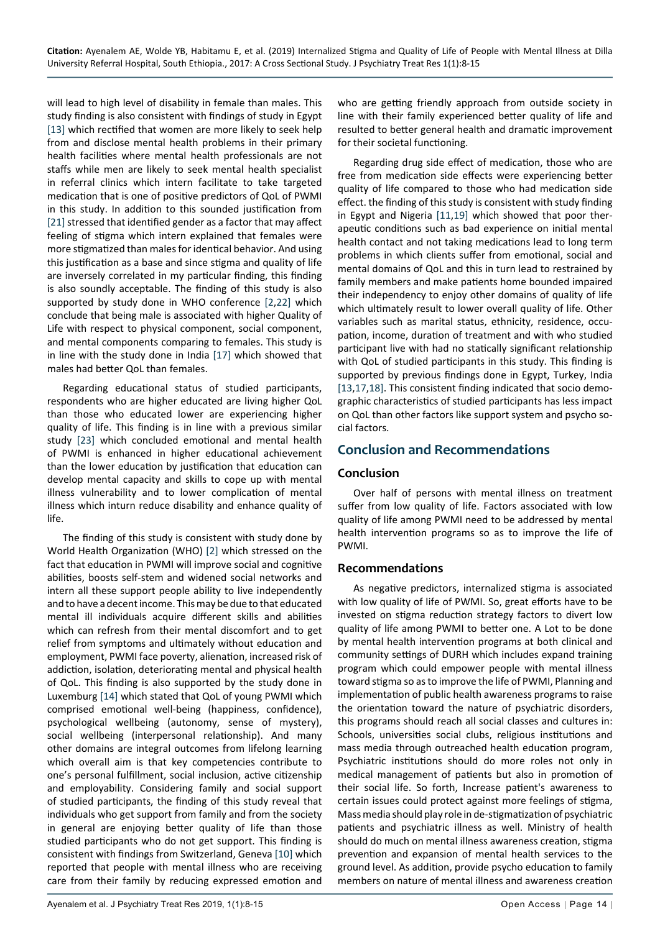will lead to high level of disability in female than males. This study finding is also consistent with findings of study in Egypt [[13\]](#page-7-11) which rectified that women are more likely to seek help from and disclose mental health problems in their primary health facilities where mental health professionals are not staffs while men are likely to seek mental health specialist in referral clinics which intern facilitate to take targeted medication that is one of positive predictors of QoL of PWMI in this study. In addition to this sounded justification from [[21\]](#page-7-19) stressed that identified gender as a factor that may affect feeling of stigma which intern explained that females were more stigmatized than males for identical behavior. And using this justification as a base and since stigma and quality of life are inversely correlated in my particular finding, this finding is also soundly acceptable. The finding of this study is also supported by study done in WHO conference [[2](#page-7-3)[,22\]](#page-7-20) which conclude that being male is associated with higher Quality of Life with respect to physical component, social component, and mental components comparing to females. This study is in line with the study done in India [\[17](#page-7-15)] which showed that males had better QoL than females.

Regarding educational status of studied participants, respondents who are higher educated are living higher QoL than those who educated lower are experiencing higher quality of life. This finding is in line with a previous similar study [\[23\]](#page-7-21) which concluded emotional and mental health of PWMI is enhanced in higher educational achievement than the lower education by justification that education can develop mental capacity and skills to cope up with mental illness vulnerability and to lower complication of mental illness which inturn reduce disability and enhance quality of life.

The finding of this study is consistent with study done by World Health Organization (WHO) [[2](#page-7-3)] which stressed on the fact that education in PWMI will improve social and cognitive abilities, boosts self-stem and widened social networks and intern all these support people ability to live independently and to have a decent income. This may be due to that educated mental ill individuals acquire different skills and abilities which can refresh from their mental discomfort and to get relief from symptoms and ultimately without education and employment, PWMI face poverty, alienation, increased risk of addiction, isolation, deteriorating mental and physical health of QoL. This finding is also supported by the study done in Luxemburg [\[14](#page-7-13)] which stated that QoL of young PWMI which comprised emotional well-being (happiness, confidence), psychological wellbeing (autonomy, sense of mystery), social wellbeing (interpersonal relationship). And many other domains are integral outcomes from lifelong learning which overall aim is that key competencies contribute to one's personal fulfillment, social inclusion, active citizenship and employability. Considering family and social support of studied participants, the finding of this study reveal that individuals who get support from family and from the society in general are enjoying better quality of life than those studied participants who do not get support. This finding is consistent with findings from Switzerland, Geneva [[10](#page-7-8)] which reported that people with mental illness who are receiving care from their family by reducing expressed emotion and

Regarding drug side effect of medication, those who are free from medication side effects were experiencing better quality of life compared to those who had medication side effect. the finding of this study is consistent with study finding in Egypt and Nigeria [[11](#page-7-9)[,19\]](#page-7-17) which showed that poor therapeutic conditions such as bad experience on initial mental health contact and not taking medications lead to long term problems in which clients suffer from emotional, social and mental domains of QoL and this in turn lead to restrained by family members and make patients home bounded impaired their independency to enjoy other domains of quality of life which ultimately result to lower overall quality of life. Other variables such as marital status, ethnicity, residence, occupation, income, duration of treatment and with who studied participant live with had no statically significant relationship with QoL of studied participants in this study. This finding is supported by previous findings done in Egypt, Turkey, India [[13](#page-7-11)[,17,](#page-7-15)[18](#page-7-16)]. This consistent finding indicated that socio demographic characteristics of studied participants has less impact on QoL than other factors like support system and psycho social factors.

# **Conclusion and Recommendations**

## **Conclusion**

Over half of persons with mental illness on treatment suffer from low quality of life. Factors associated with low quality of life among PWMI need to be addressed by mental health intervention programs so as to improve the life of PWMI.

### **Recommendations**

As negative predictors, internalized stigma is associated with low quality of life of PWMI. So, great efforts have to be invested on stigma reduction strategy factors to divert low quality of life among PWMI to better one. A Lot to be done by mental health intervention programs at both clinical and community settings of DURH which includes expand training program which could empower people with mental illness toward stigma so as to improve the life of PWMI, Planning and implementation of public health awareness programs to raise the orientation toward the nature of psychiatric disorders, this programs should reach all social classes and cultures in: Schools, universities social clubs, religious institutions and mass media through outreached health education program, Psychiatric institutions should do more roles not only in medical management of patients but also in promotion of their social life. So forth, Increase patient's awareness to certain issues could protect against more feelings of stigma, Mass media should play role in de-stigmatization of psychiatric patients and psychiatric illness as well. Ministry of health should do much on mental illness awareness creation, stigma prevention and expansion of mental health services to the ground level. As addition, provide psycho education to family members on nature of mental illness and awareness creation